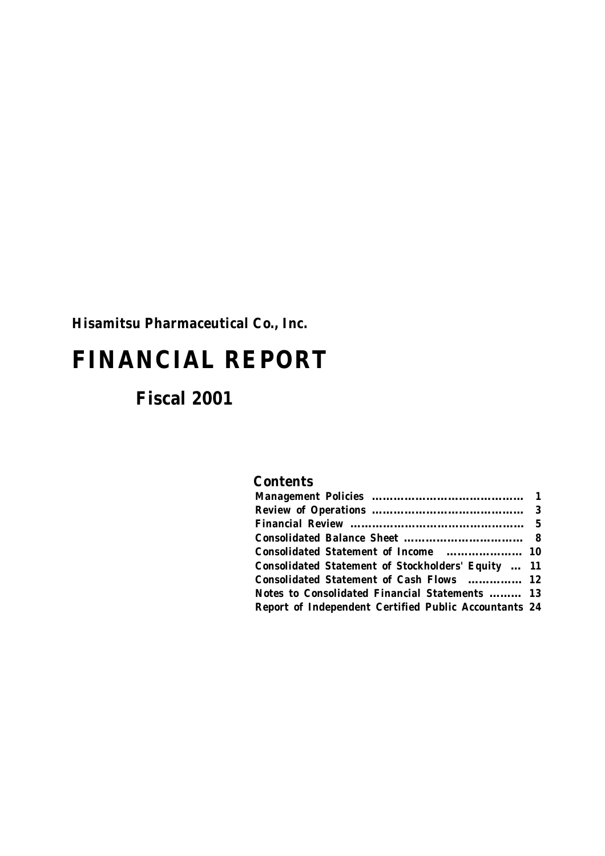**Hisamitsu Pharmaceutical Co., Inc.**

# **FINANCIAL REPORT**

# **Fiscal 2001**

## **Contents**

| Consolidated Statement of Income  10                         |  |
|--------------------------------------------------------------|--|
| Consolidated Statement of Stockholders' Equity  11           |  |
| Consolidated Statement of Cash Flows  12                     |  |
| Notes to Consolidated Financial Statements  13               |  |
| <b>Report of Independent Certified Public Accountants 24</b> |  |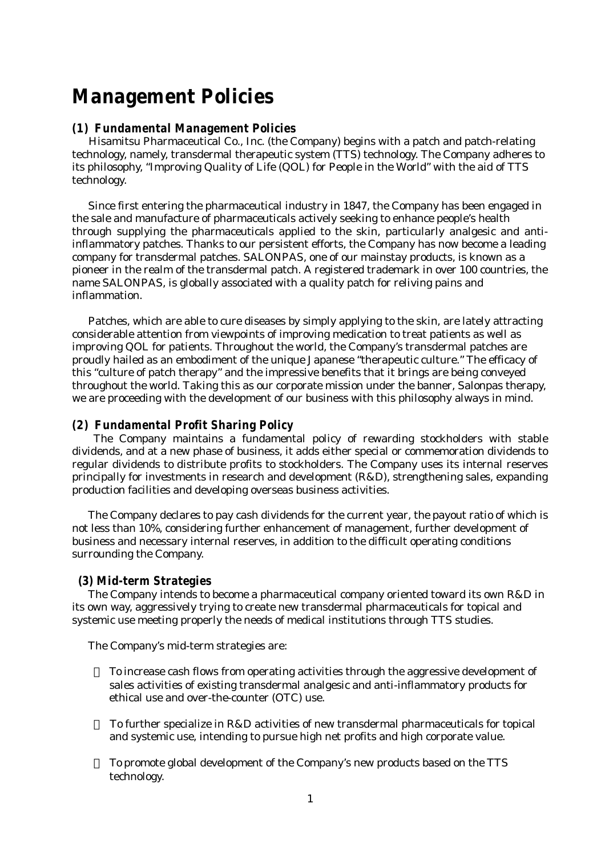# **Management Policies**

#### **(1) Fundamental Management Policies**

Hisamitsu Pharmaceutical Co., Inc. (the Company) begins with a patch and patch-relating technology, namely, transdermal therapeutic system (TTS) technology. The Company adheres to its philosophy, "Improving Quality of Life (QOL) for People in the World" with the aid of TTS technology.

 Since first entering the pharmaceutical industry in 1847, the Company has been engaged in the sale and manufacture of pharmaceuticals actively seeking to enhance people's health through supplying the pharmaceuticals applied to the skin, particularly analgesic and antiinflammatory patches. Thanks to our persistent efforts, the Company has now become a leading company for transdermal patches. SALONPAS, one of our mainstay products, is known as a pioneer in the realm of the transdermal patch. A registered trademark in over 100 countries, the name SALONPAS, is globally associated with a quality patch for reliving pains and inflammation.

 Patches, which are able to cure diseases by simply applying to the skin, are lately attracting considerable attention from viewpoints of improving medication to treat patients as well as improving QOL for patients. Throughout the world, the Company's transdermal patches are proudly hailed as an embodiment of the unique Japanese "therapeutic culture." The efficacy of this "culture of patch therapy" and the impressive benefits that it brings are being conveyed throughout the world. Taking this as our corporate mission under the banner, Salonpas therapy, we are proceeding with the development of our business with this philosophy always in mind.

#### **(2) Fundamental Profit Sharing Policy**

 The Company maintains a fundamental policy of rewarding stockholders with stable dividends, and at a new phase of business, it adds either special or commemoration dividends to regular dividends to distribute profits to stockholders. The Company uses its internal reserves principally for investments in research and development (R&D), strengthening sales, expanding production facilities and developing overseas business activities.

 The Company declares to pay cash dividends for the current year, the payout ratio of which is not less than 10%, considering further enhancement of management, further development of business and necessary internal reserves, in addition to the difficult operating conditions surrounding the Company.

#### **(3) Mid-term Strategies**

 The Company intends to become a pharmaceutical company oriented toward its own R&D in its own way, aggressively trying to create new transdermal pharmaceuticals for topical and systemic use meeting properly the needs of medical institutions through TTS studies.

The Company's mid-term strategies are:

 To increase cash flows from operating activities through the aggressive development of sales activities of existing transdermal analgesic and anti-inflammatory products for ethical use and over-the-counter (OTC) use.

To further specialize in R&D activities of new transdermal pharmaceuticals for topical and systemic use, intending to pursue high net profits and high corporate value.

 To promote global development of the Company's new products based on the TTS technology.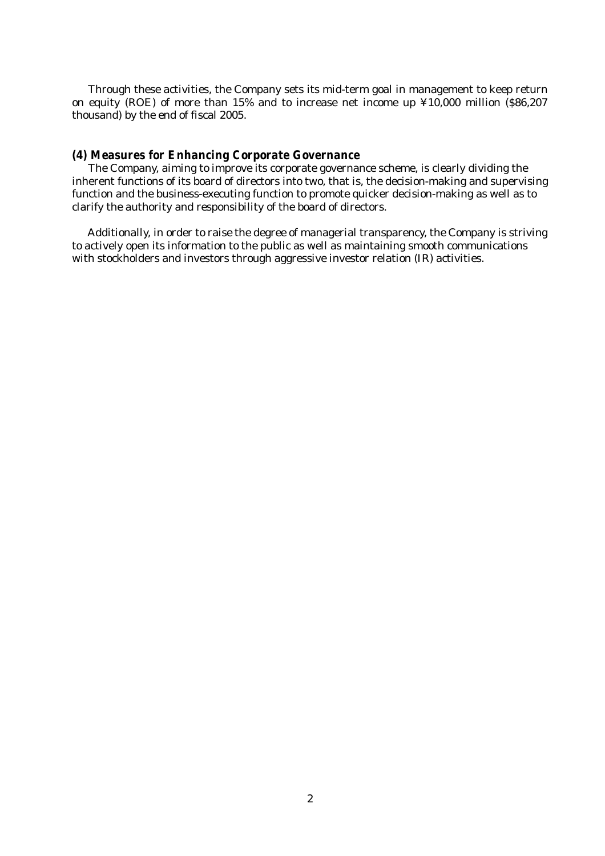Through these activities, the Company sets its mid-term goal in management to keep return on equity (ROE) of more than 15% and to increase net income up ¥10,000 million (\$86,207 thousand) by the end of fiscal 2005.

### **(4) Measures for Enhancing Corporate Governance**

 The Company, aiming to improve its corporate governance scheme, is clearly dividing the inherent functions of its board of directors into two, that is, the decision-making and supervising function and the business-executing function to promote quicker decision-making as well as to clarify the authority and responsibility of the board of directors.

 Additionally, in order to raise the degree of managerial transparency, the Company is striving to actively open its information to the public as well as maintaining smooth communications with stockholders and investors through aggressive investor relation (IR) activities.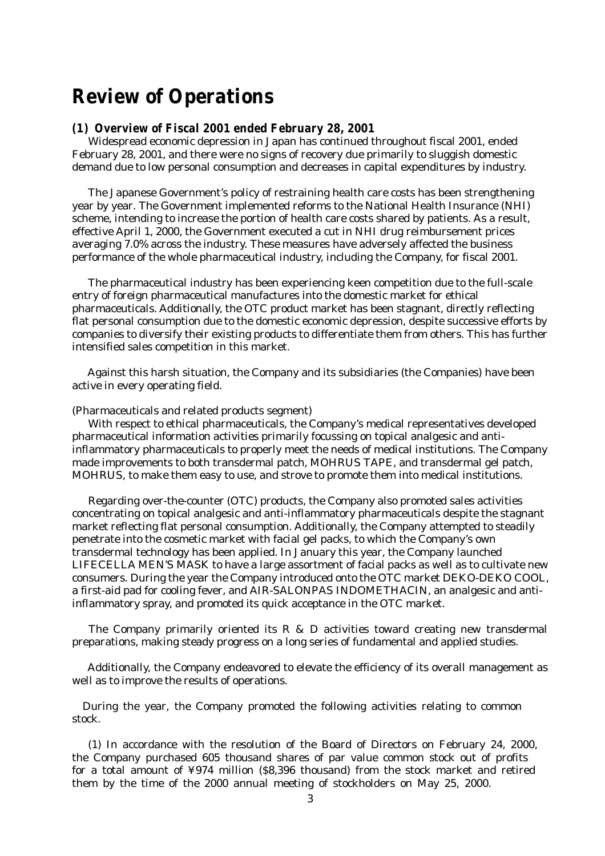# **Review of Operations**

## **(1) Overview of Fiscal 2001 ended February 28, 2001**

 Widespread economic depression in Japan has continued throughout fiscal 2001, ended February 28, 2001, and there were no signs of recovery due primarily to sluggish domestic demand due to low personal consumption and decreases in capital expenditures by industry.

 The Japanese Government's policy of restraining health care costs has been strengthening year by year. The Government implemented reforms to the National Health Insurance (NHI) scheme, intending to increase the portion of health care costs shared by patients. As a result, effective April 1, 2000, the Government executed a cut in NHI drug reimbursement prices averaging 7.0% across the industry. These measures have adversely affected the business performance of the whole pharmaceutical industry, including the Company, for fiscal 2001.

 The pharmaceutical industry has been experiencing keen competition due to the full-scale entry of foreign pharmaceutical manufactures into the domestic market for ethical pharmaceuticals. Additionally, the OTC product market has been stagnant, directly reflecting flat personal consumption due to the domestic economic depression, despite successive efforts by companies to diversify their existing products to differentiate them from others. This has further intensified sales competition in this market.

 Against this harsh situation, the Company and its subsidiaries (the Companies) have been active in every operating field.

(Pharmaceuticals and related products segment)

 With respect to ethical pharmaceuticals, the Company's medical representatives developed pharmaceutical information activities primarily focussing on topical analgesic and antiinflammatory pharmaceuticals to properly meet the needs of medical institutions. The Company made improvements to both transdermal patch, MOHRUS TAPE, and transdermal gel patch, MOHRUS, to make them easy to use, and strove to promote them into medical institutions.

 Regarding over-the-counter (OTC) products, the Company also promoted sales activities concentrating on topical analgesic and anti-inflammatory pharmaceuticals despite the stagnant market reflecting flat personal consumption. Additionally, the Company attempted to steadily penetrate into the cosmetic market with facial gel packs, to which the Company's own transdermal technology has been applied. In January this year, the Company launched LIFECELLA MEN'S MASK to have a large assortment of facial packs as well as to cultivate new consumers. During the year the Company introduced onto the OTC market DEKO-DEKO COOL, a first-aid pad for cooling fever, and AIR-SALONPAS INDOMETHACIN, an analgesic and antiinflammatory spray, and promoted its quick acceptance in the OTC market.

The Company primarily oriented its  $R \& D$  activities toward creating new transdermal preparations, making steady progress on a long series of fundamental and applied studies.

 Additionally, the Company endeavored to elevate the efficiency of its overall management as well as to improve the results of operations.

 During the year, the Company promoted the following activities relating to common stock.

 (1) In accordance with the resolution of the Board of Directors on February 24, 2000, the Company purchased 605 thousand shares of par value common stock out of profits for a total amount of ¥974 million (\$8,396 thousand) from the stock market and retired them by the time of the 2000 annual meeting of stockholders on May 25, 2000.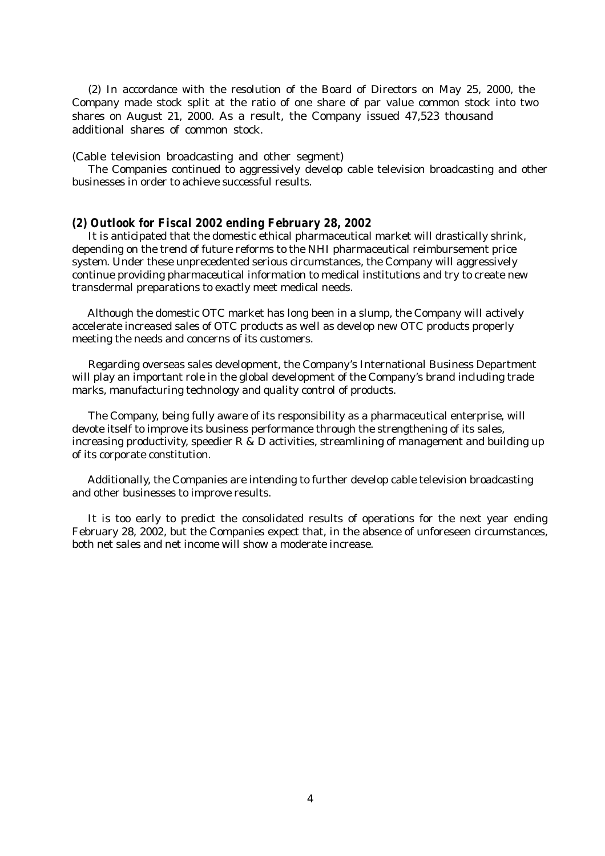(2) In accordance with the resolution of the Board of Directors on May 25, 2000, the Company made stock split at the ratio of one share of par value common stock into two shares on August 21, 2000. As a result, the Company issued 47,523 thousand additional shares of common stock.

(Cable television broadcasting and other segment)

 The Companies continued to aggressively develop cable television broadcasting and other businesses in order to achieve successful results.

#### **(2) Outlook for Fiscal 2002 ending February 28, 2002**

 It is anticipated that the domestic ethical pharmaceutical market will drastically shrink, depending on the trend of future reforms to the NHI pharmaceutical reimbursement price system. Under these unprecedented serious circumstances, the Company will aggressively continue providing pharmaceutical information to medical institutions and try to create new transdermal preparations to exactly meet medical needs.

 Although the domestic OTC market has long been in a slump, the Company will actively accelerate increased sales of OTC products as well as develop new OTC products properly meeting the needs and concerns of its customers.

 Regarding overseas sales development, the Company's International Business Department will play an important role in the global development of the Company's brand including trade marks, manufacturing technology and quality control of products.

 The Company, being fully aware of its responsibility as a pharmaceutical enterprise, will devote itself to improve its business performance through the strengthening of its sales, increasing productivity, speedier  $R \& D$  activities, streamlining of management and building up of its corporate constitution.

 Additionally, the Companies are intending to further develop cable television broadcasting and other businesses to improve results.

 It is too early to predict the consolidated results of operations for the next year ending February 28, 2002, but the Companies expect that, in the absence of unforeseen circumstances, both net sales and net income will show a moderate increase.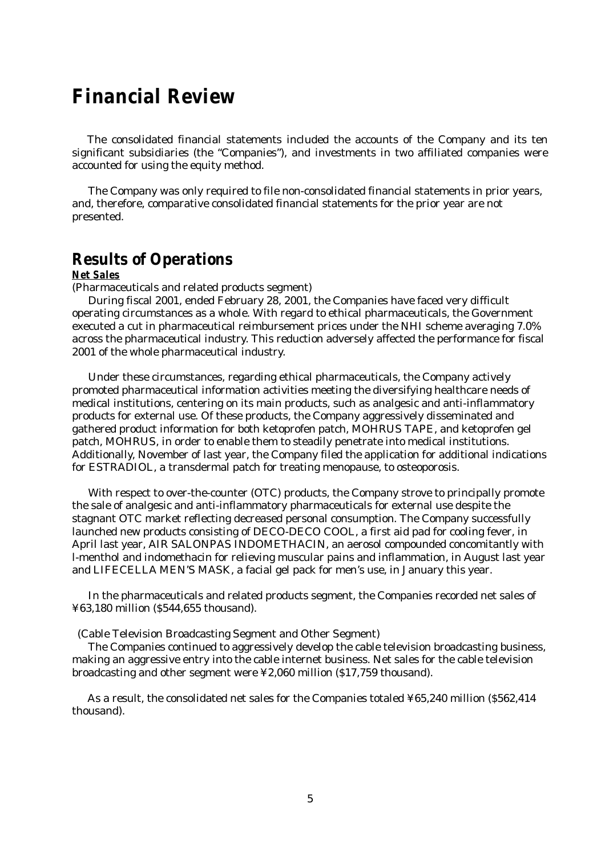# **Financial Review**

 The consolidated financial statements included the accounts of the Company and its ten significant subsidiaries (the "Companies"), and investments in two affiliated companies were accounted for using the equity method.

 The Company was only required to file non-consolidated financial statements in prior years, and, therefore, comparative consolidated financial statements for the prior year are not presented.

## **Results of Operations**

### **Net Sales**

(Pharmaceuticals and related products segment)

 During fiscal 2001, ended February 28, 2001, the Companies have faced very difficult operating circumstances as a whole. With regard to ethical pharmaceuticals, the Government executed a cut in pharmaceutical reimbursement prices under the NHI scheme averaging 7.0% across the pharmaceutical industry. This reduction adversely affected the performance for fiscal 2001 of the whole pharmaceutical industry.

 Under these circumstances, regarding ethical pharmaceuticals, the Company actively promoted pharmaceutical information activities meeting the diversifying healthcare needs of medical institutions, centering on its main products, such as analgesic and anti-inflammatory products for external use. Of these products, the Company aggressively disseminated and gathered product information for both ketoprofen patch, MOHRUS TAPE, and ketoprofen gel patch, MOHRUS, in order to enable them to steadily penetrate into medical institutions. Additionally, November of last year, the Company filed the application for additional indications for ESTRADIOL, a transdermal patch for treating menopause, to osteoporosis.

 With respect to over-the-counter (OTC) products, the Company strove to principally promote the sale of analgesic and anti-inflammatory pharmaceuticals for external use despite the stagnant OTC market reflecting decreased personal consumption. The Company successfully launched new products consisting of DECO-DECO COOL, a first aid pad for cooling fever, in April last year, AIR SALONPAS INDOMETHACIN, an aerosol compounded concomitantly with l-menthol and indomethacin for relieving muscular pains and inflammation, in August last year and LIFECELLA MEN'S MASK, a facial gel pack for men's use, in January this year.

 In the pharmaceuticals and related products segment, the Companies recorded net sales of ¥63,180 million (\$544,655 thousand).

(Cable Television Broadcasting Segment and Other Segment)

 The Companies continued to aggressively develop the cable television broadcasting business, making an aggressive entry into the cable internet business. Net sales for the cable television broadcasting and other segment were ¥2,060 million (\$17,759 thousand).

 As a result, the consolidated net sales for the Companies totaled ¥65,240 million (\$562,414 thousand).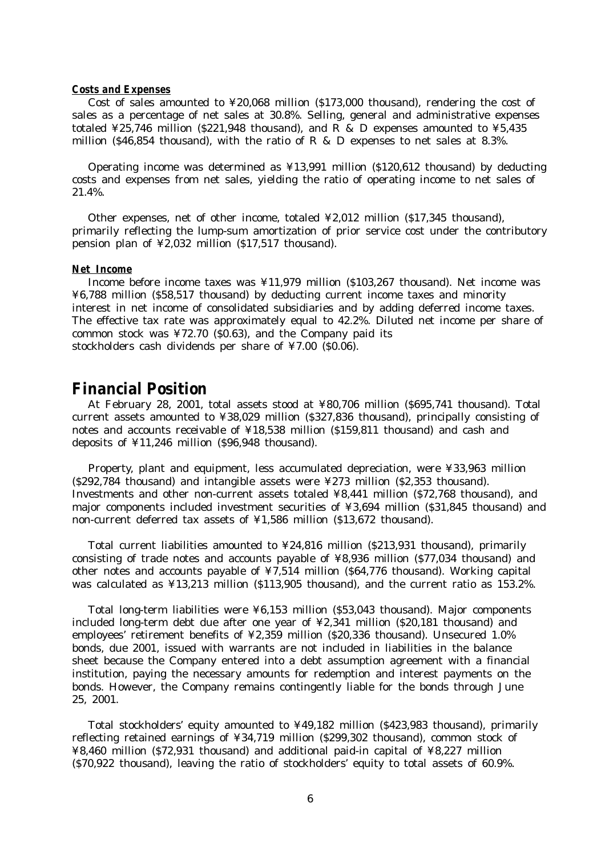#### **Costs and Expenses**

Cost of sales amounted to  $\frac{1}{20,068}$  million (\$173,000 thousand), rendering the cost of sales as a percentage of net sales at 30.8%. Selling, general and administrative expenses totaled ¥25,746 million (\$221,948 thousand), and R & D expenses amounted to ¥5,435 million (\$46,854 thousand), with the ratio of R & D expenses to net sales at 8.3%.

 Operating income was determined as ¥13,991 million (\$120,612 thousand) by deducting costs and expenses from net sales, yielding the ratio of operating income to net sales of 21.4%.

 Other expenses, net of other income, totaled ¥2,012 million (\$17,345 thousand), primarily reflecting the lump-sum amortization of prior service cost under the contributory pension plan of ¥2,032 million (\$17,517 thousand).

#### **Net Income**

 Income before income taxes was ¥11,979 million (\$103,267 thousand). Net income was ¥6,788 million (\$58,517 thousand) by deducting current income taxes and minority interest in net income of consolidated subsidiaries and by adding deferred income taxes. The effective tax rate was approximately equal to 42.2%. Diluted net income per share of common stock was  $\frac{1}{2}72.70$  (\$0.63), and the Company paid its stockholders cash dividends per share of ¥7.00 (\$0.06).

## **Financial Position**

 At February 28, 2001, total assets stood at ¥80,706 million (\$695,741 thousand). Total current assets amounted to ¥38,029 million (\$327,836 thousand), principally consisting of notes and accounts receivable of ¥18,538 million (\$159,811 thousand) and cash and deposits of ¥11,246 million (\$96,948 thousand).

 Property, plant and equipment, less accumulated depreciation, were ¥33,963 million (\$292,784 thousand) and intangible assets were ¥273 million (\$2,353 thousand). Investments and other non-current assets totaled ¥8,441 million (\$72,768 thousand), and major components included investment securities of ¥3,694 million (\$31,845 thousand) and non-current deferred tax assets of ¥1,586 million (\$13,672 thousand).

 Total current liabilities amounted to ¥24,816 million (\$213,931 thousand), primarily consisting of trade notes and accounts payable of ¥8,936 million (\$77,034 thousand) and other notes and accounts payable of ¥7,514 million (\$64,776 thousand). Working capital was calculated as ¥13,213 million (\$113,905 thousand), and the current ratio as 153.2%.

 Total long-term liabilities were ¥6,153 million (\$53,043 thousand). Major components included long-term debt due after one year of ¥2,341 million (\$20,181 thousand) and employees' retirement benefits of ¥2,359 million (\$20,336 thousand). Unsecured 1.0% bonds, due 2001, issued with warrants are not included in liabilities in the balance sheet because the Company entered into a debt assumption agreement with a financial institution, paying the necessary amounts for redemption and interest payments on the bonds. However, the Company remains contingently liable for the bonds through June 25, 2001.

 Total stockholders' equity amounted to ¥49,182 million (\$423,983 thousand), primarily reflecting retained earnings of ¥34,719 million (\$299,302 thousand), common stock of ¥8,460 million (\$72,931 thousand) and additional paid-in capital of ¥8,227 million (\$70,922 thousand), leaving the ratio of stockholders' equity to total assets of 60.9%.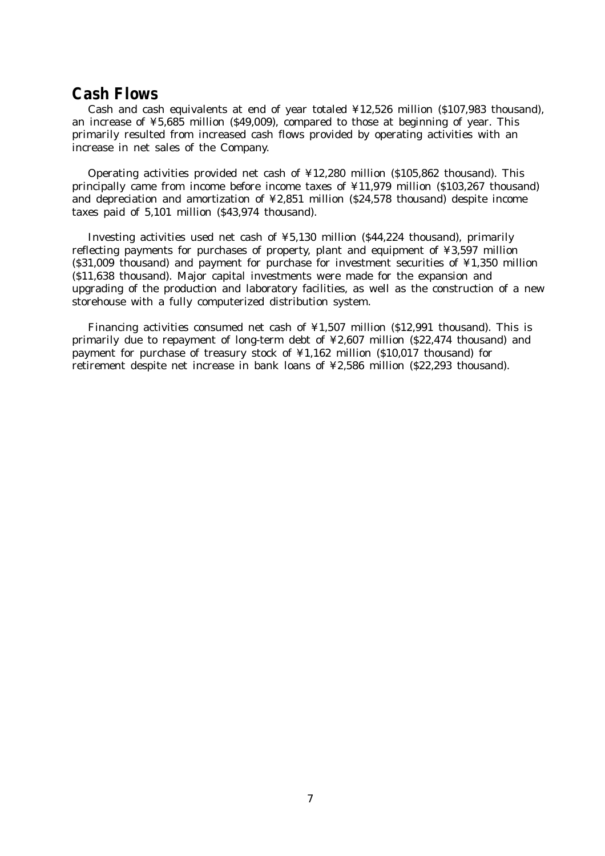## **Cash Flows**

 Cash and cash equivalents at end of year totaled ¥12,526 million (\$107,983 thousand), an increase of ¥5,685 million (\$49,009), compared to those at beginning of year. This primarily resulted from increased cash flows provided by operating activities with an increase in net sales of the Company.

 Operating activities provided net cash of ¥12,280 million (\$105,862 thousand). This principally came from income before income taxes of ¥11,979 million (\$103,267 thousand) and depreciation and amortization of  $\frac{1}{2}2,851$  million (\$24,578 thousand) despite income taxes paid of 5,101 million (\$43,974 thousand).

 Investing activities used net cash of ¥5,130 million (\$44,224 thousand), primarily reflecting payments for purchases of property, plant and equipment of ¥3,597 million  $(S31,009$  thousand) and payment for purchase for investment securities of ¥1,350 million (\$11,638 thousand). Major capital investments were made for the expansion and upgrading of the production and laboratory facilities, as well as the construction of a new storehouse with a fully computerized distribution system.

 Financing activities consumed net cash of ¥1,507 million (\$12,991 thousand). This is primarily due to repayment of long-term debt of ¥2,607 million (\$22,474 thousand) and payment for purchase of treasury stock of ¥1,162 million (\$10,017 thousand) for retirement despite net increase in bank loans of ¥2,586 million (\$22,293 thousand).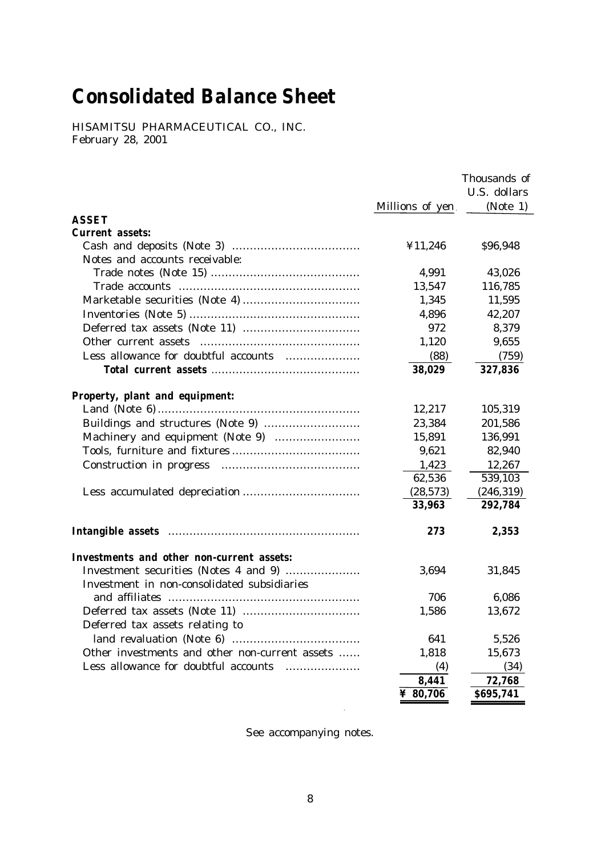# **Consolidated Balance Sheet**

HISAMITSU PHARMACEUTICAL CO., INC. February 28, 2001

|                                                                                                                                                                                                                               |                  | Thousands of<br>U.S. dollars |
|-------------------------------------------------------------------------------------------------------------------------------------------------------------------------------------------------------------------------------|------------------|------------------------------|
|                                                                                                                                                                                                                               | Millions of yen. | (Note 1)                     |
| <b>ASSET</b><br><b>Current assets:</b>                                                                                                                                                                                        |                  |                              |
|                                                                                                                                                                                                                               | ¥11,246          | \$96,948                     |
| Notes and accounts receivable:                                                                                                                                                                                                |                  |                              |
|                                                                                                                                                                                                                               | 4,991            | 43,026                       |
|                                                                                                                                                                                                                               | 13,547           | 116,785                      |
|                                                                                                                                                                                                                               | 1,345            | 11,595                       |
|                                                                                                                                                                                                                               | 4,896            | 42,207                       |
|                                                                                                                                                                                                                               | 972              | 8,379                        |
|                                                                                                                                                                                                                               | 1,120            | 9,655                        |
| Less allowance for doubtful accounts                                                                                                                                                                                          | (88)             | (759)                        |
|                                                                                                                                                                                                                               | 38,029           | 327,836                      |
|                                                                                                                                                                                                                               |                  |                              |
| Property, plant and equipment:                                                                                                                                                                                                |                  |                              |
|                                                                                                                                                                                                                               | 12,217           | 105,319                      |
|                                                                                                                                                                                                                               | 23,384           | 201,586                      |
|                                                                                                                                                                                                                               | 15,891           | 136,991                      |
|                                                                                                                                                                                                                               | 9,621            | 82,940                       |
|                                                                                                                                                                                                                               | 1,423            | 12,267                       |
|                                                                                                                                                                                                                               | 62,536           | 539,103                      |
|                                                                                                                                                                                                                               | (28, 573)        | (246, 319)                   |
|                                                                                                                                                                                                                               | 33,963           | 292,784                      |
| Intangible assets manufactured assets and the set of the set of the set of the set of the set of the set of the set of the set of the set of the set of the set of the set of the set of the set of the set of the set of the | 273              | 2,353                        |
| Investments and other non-current assets:                                                                                                                                                                                     |                  |                              |
| Investment securities (Notes 4 and 9)                                                                                                                                                                                         | 3,694            | 31,845                       |
| Investment in non-consolidated subsidiaries                                                                                                                                                                                   |                  |                              |
|                                                                                                                                                                                                                               | 706              | 6,086                        |
|                                                                                                                                                                                                                               | 1,586            | 13,672                       |
| Deferred tax assets relating to                                                                                                                                                                                               |                  |                              |
|                                                                                                                                                                                                                               | 641              | 5,526                        |
| Other investments and other non-current assets                                                                                                                                                                                | 1,818            | 15,673                       |
| Less allowance for doubtful accounts                                                                                                                                                                                          | (4)              | (34)                         |
|                                                                                                                                                                                                                               | 8,441            | 72,768                       |
|                                                                                                                                                                                                                               | ¥ 80,706         | \$695,741                    |

See accompanying notes.

 $\ddot{\phantom{a}}$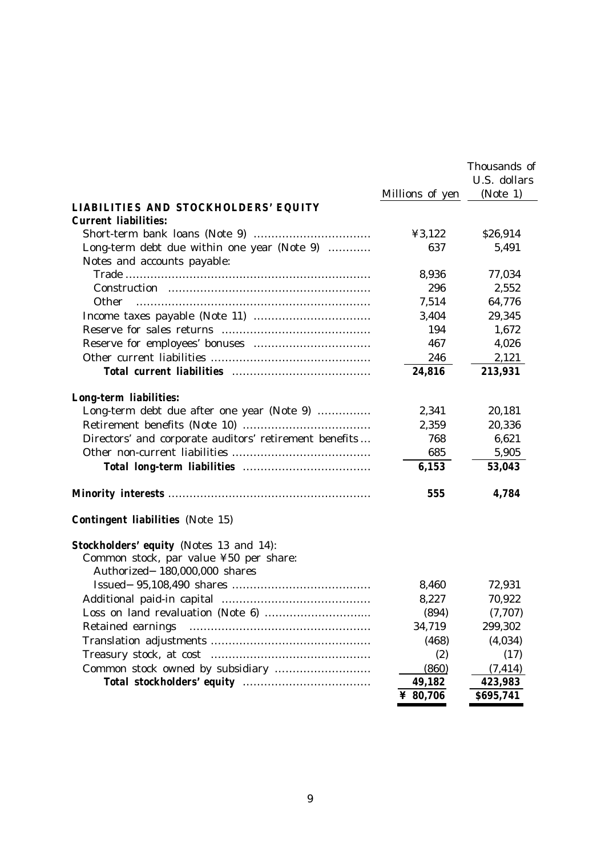|                                                        |                 | Thousands of |
|--------------------------------------------------------|-----------------|--------------|
|                                                        |                 | U.S. dollars |
|                                                        | Millions of yen | (Note 1)     |
| LIABILITIES AND STOCKHOLDERS' EQUITY                   |                 |              |
| <b>Current liabilities:</b>                            |                 |              |
|                                                        | 43,122          | \$26,914     |
| Long-term debt due within one year (Note 9)            | 637             | 5,491        |
| Notes and accounts payable:                            |                 |              |
|                                                        | 8,936           | 77,034       |
|                                                        | 296             | 2,552        |
| Other                                                  | 7,514           | 64,776       |
|                                                        | 3,404           | 29,345       |
|                                                        | 194             | 1,672        |
|                                                        | 467             | 4,026        |
|                                                        | 246             | 2,121        |
|                                                        | 24,816          | 213,931      |
|                                                        |                 |              |
| Long-term liabilities:                                 |                 |              |
| Long-term debt due after one year (Note 9)             | 2,341           | 20,181       |
|                                                        | 2,359           | 20,336       |
| Directors' and corporate auditors' retirement benefits | 768             | 6,621        |
|                                                        | 685             | 5,905        |
|                                                        | 6,153           | 53,043       |
|                                                        | 555             | 4,784        |
| <b>Contingent liabilities</b> (Note 15)                |                 |              |
| <b>Stockholders' equity</b> (Notes 13 and 14):         |                 |              |
| Common stock, par value ¥50 per share:                 |                 |              |
| Authorized 180,000,000 shares                          |                 |              |
|                                                        | 8,460           | 72,931       |
|                                                        | 8,227           | 70,922       |
|                                                        | (894)           | (7,707)      |
|                                                        | 34,719          | 299,302      |
|                                                        | (468)           | (4,034)      |
|                                                        | (2)             | (17)         |
|                                                        | (860)           | (7, 414)     |
|                                                        | 49,182          | 423,983      |
|                                                        | ¥ 80,706        | \$695,741    |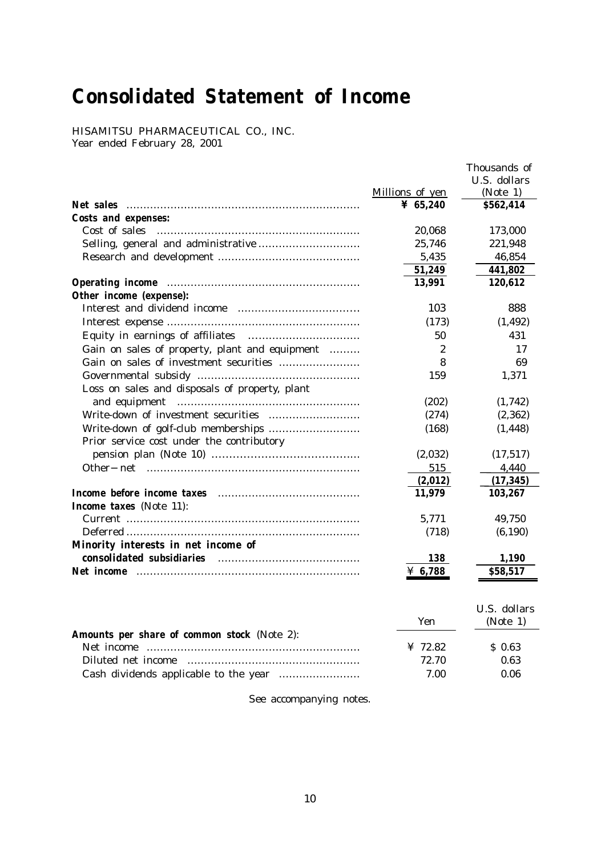# **Consolidated Statement of Income**

HISAMITSU PHARMACEUTICAL CO., INC. Year ended February 28, 2001

|                                                                                                                                                                                                                                                           | Millions of yen  | Thousands of<br>U.S. dollars<br>(Note 1) |
|-----------------------------------------------------------------------------------------------------------------------------------------------------------------------------------------------------------------------------------------------------------|------------------|------------------------------------------|
|                                                                                                                                                                                                                                                           | ¥ $65,240$       | \$562,414                                |
| Costs and expenses:                                                                                                                                                                                                                                       |                  |                                          |
| Cost of sales                                                                                                                                                                                                                                             | 20,068           | 173,000                                  |
|                                                                                                                                                                                                                                                           | 25,746           | 221,948                                  |
|                                                                                                                                                                                                                                                           | 5,435            | 46,854                                   |
|                                                                                                                                                                                                                                                           | 51,249           | 441,802                                  |
| Operating income manufactured and the contract of the contract of the contract of the contract of the contract of the contract of the contract of the contract of the contract of the contract of the contract of the contract<br>Other income (expense): | 13,991           | 120,612                                  |
|                                                                                                                                                                                                                                                           | 103              | 888                                      |
|                                                                                                                                                                                                                                                           | (173)            | (1, 492)                                 |
|                                                                                                                                                                                                                                                           | 50               | 431                                      |
| Gain on sales of property, plant and equipment                                                                                                                                                                                                            | $\boldsymbol{2}$ | 17                                       |
|                                                                                                                                                                                                                                                           | 8                | 69                                       |
|                                                                                                                                                                                                                                                           | 159              | 1,371                                    |
| Loss on sales and disposals of property, plant                                                                                                                                                                                                            |                  |                                          |
|                                                                                                                                                                                                                                                           | (202)            | (1,742)                                  |
|                                                                                                                                                                                                                                                           | (274)            | (2, 362)                                 |
|                                                                                                                                                                                                                                                           | (168)            | (1, 448)                                 |
| Prior service cost under the contributory                                                                                                                                                                                                                 |                  |                                          |
|                                                                                                                                                                                                                                                           | (2,032)          | (17, 517)                                |
|                                                                                                                                                                                                                                                           | 515              | 4,440                                    |
|                                                                                                                                                                                                                                                           | (2,012)          | (17, 345)                                |
|                                                                                                                                                                                                                                                           | 11,979           | 103,267                                  |
| Income taxes (Note 11):                                                                                                                                                                                                                                   |                  |                                          |
|                                                                                                                                                                                                                                                           | 5,771            | 49,750                                   |
|                                                                                                                                                                                                                                                           | (718)            | (6, 190)                                 |
| Minority interests in net income of                                                                                                                                                                                                                       |                  |                                          |
| consolidated subsidiaries <b>consolidated</b> subsidiaries <b>consolidated</b>                                                                                                                                                                            | 138              | 1,190                                    |
| Net income                                                                                                                                                                                                                                                | ¥ 6,788          | \$58,517                                 |
| Amounts ner share of common stock $(N$ ote $2)$ .                                                                                                                                                                                                         | Yen              | U.S. dollars<br>(Note 1)                 |

| <b>Amounts per share of common stock</b> (Note 2): |               |        |
|----------------------------------------------------|---------------|--------|
|                                                    | $\cong 72.82$ | S 0.63 |
|                                                    | 72.70         | 0.63   |
|                                                    | 7.00          | 0.06   |

See accompanying notes.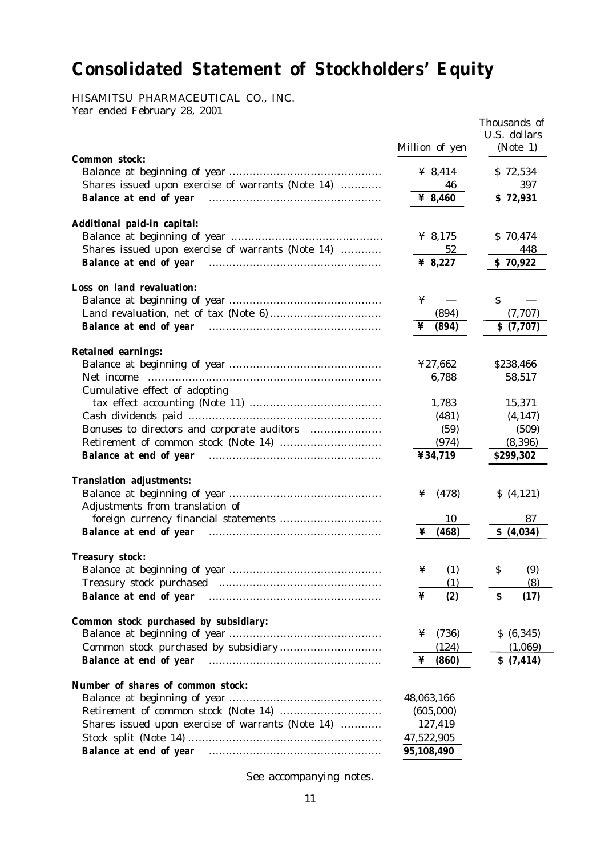# **Consolidated Statement of Stockholders' Equity**

HISAMITSU PHARMACEUTICAL CO., INC.

Year ended February 28, 2001

|                                                                                                                                                                                                                                | Million of yen  | Thousands of<br>U.S. dollars<br>(Note 1) |
|--------------------------------------------------------------------------------------------------------------------------------------------------------------------------------------------------------------------------------|-----------------|------------------------------------------|
| <b>Common stock:</b>                                                                                                                                                                                                           |                 |                                          |
| Shares issued upon exercise of warrants (Note 14)                                                                                                                                                                              | ¥ $8,414$<br>46 | \$72,534<br>397                          |
|                                                                                                                                                                                                                                | ¥ 8,460         | \$72,931                                 |
| Balance at end of year                                                                                                                                                                                                         |                 |                                          |
| Additional paid-in capital:                                                                                                                                                                                                    |                 |                                          |
|                                                                                                                                                                                                                                | ¥ $8,175$       | \$70,474                                 |
| Shares issued upon exercise of warrants (Note 14)                                                                                                                                                                              | 52              | 448                                      |
| Balance at end of year manufactured and state and state of year                                                                                                                                                                | ¥ 8,227         | \$70,922                                 |
|                                                                                                                                                                                                                                |                 |                                          |
| Loss on land revaluation:                                                                                                                                                                                                      |                 |                                          |
|                                                                                                                                                                                                                                | ¥               | \$                                       |
|                                                                                                                                                                                                                                | (894)           | (7,707)                                  |
| Balance at end of year manufactured and state and state and state and state and state and state and state and state and state and state and state and state and state and state and state and state and state and state and st | (894)<br>¥      | \$(7,707)                                |
| <b>Retained earnings:</b>                                                                                                                                                                                                      |                 |                                          |
|                                                                                                                                                                                                                                | ¥27,662         | \$238,466                                |
|                                                                                                                                                                                                                                | 6,788           | 58,517                                   |
| Cumulative effect of adopting                                                                                                                                                                                                  |                 |                                          |
|                                                                                                                                                                                                                                | 1,783           | 15,371                                   |
|                                                                                                                                                                                                                                | (481)           | (4, 147)                                 |
|                                                                                                                                                                                                                                | (59)            | (509)                                    |
|                                                                                                                                                                                                                                | (974)           | (8, 396)                                 |
| Balance at end of year manufactured and state and state of year                                                                                                                                                                | ¥34,719         | \$299,302                                |
|                                                                                                                                                                                                                                |                 |                                          |
| <b>Translation adjustments:</b>                                                                                                                                                                                                |                 |                                          |
|                                                                                                                                                                                                                                | (478)<br>¥      | (4,121)                                  |
| Adjustments from translation of                                                                                                                                                                                                |                 |                                          |
|                                                                                                                                                                                                                                | 10<br>¥         | 87                                       |
| Balance at end of year manufactured and a set of year manufactured and set of year                                                                                                                                             | (468)           | \$(4,034)                                |
| <b>Treasury stock:</b>                                                                                                                                                                                                         |                 |                                          |
|                                                                                                                                                                                                                                | (1)<br>¥        | \$<br>(9)                                |
|                                                                                                                                                                                                                                | (1)             | (8)                                      |
| Balance at end of year                                                                                                                                                                                                         | (2)<br>¥        | \$<br>(17)                               |
|                                                                                                                                                                                                                                |                 |                                          |
| Common stock purchased by subsidiary:                                                                                                                                                                                          | (736)<br>¥      | \$ (6,345)                               |
|                                                                                                                                                                                                                                | (124)           |                                          |
|                                                                                                                                                                                                                                |                 | (1,069)                                  |
| <b>Balance at end of year</b>                                                                                                                                                                                                  | (860)<br>¥      | \$(7,414)                                |
| Number of shares of common stock:                                                                                                                                                                                              |                 |                                          |
|                                                                                                                                                                                                                                | 48,063,166      |                                          |
|                                                                                                                                                                                                                                | (605,000)       |                                          |
| Shares issued upon exercise of warrants (Note 14)                                                                                                                                                                              | 127,419         |                                          |
|                                                                                                                                                                                                                                | 47,522,905      |                                          |
| Balance at end of year                                                                                                                                                                                                         | 95,108,490      |                                          |
|                                                                                                                                                                                                                                |                 |                                          |

See accompanying notes.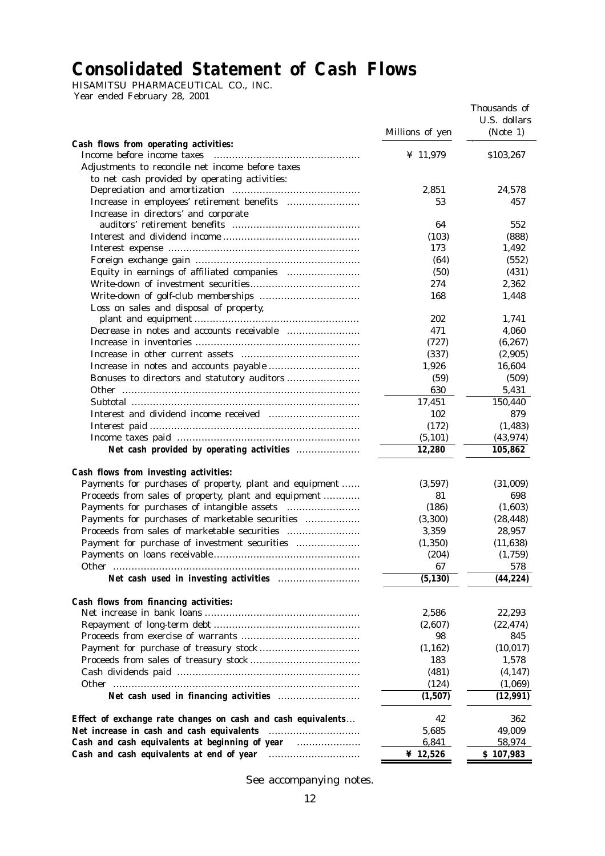# **Consolidated Statement of Cash Flows**

HISAMITSU PHARMACEUTICAL CO., INC. Year ended February 28, 2001

|                                                              | Millions of yen     | Thousands of<br>U.S. dollars<br>(Note 1) |
|--------------------------------------------------------------|---------------------|------------------------------------------|
| Cash flows from operating activities:                        |                     |                                          |
| Income before income taxes                                   | ¥ $11,979$          | \$103,267                                |
| Adjustments to reconcile net income before taxes             |                     |                                          |
| to net cash provided by operating activities:                |                     |                                          |
|                                                              | 2,851               | 24,578                                   |
|                                                              | 53                  | 457                                      |
| Increase in directors' and corporate                         |                     |                                          |
|                                                              | 64                  | 552                                      |
|                                                              | (103)               | (888)                                    |
|                                                              | 173                 | 1,492                                    |
|                                                              | (64)                | (552)                                    |
|                                                              | (50)                | (431)                                    |
|                                                              | 274                 | 2,362                                    |
|                                                              | 168                 | 1,448                                    |
| Loss on sales and disposal of property,                      |                     |                                          |
|                                                              | 202                 | 1,741                                    |
|                                                              | 471                 | 4,060                                    |
|                                                              | (727)               | (6, 267)                                 |
|                                                              | (337)               | (2,905)                                  |
|                                                              | 1,926               | 16,604                                   |
|                                                              | (59)                | (509)                                    |
|                                                              | 630                 | 5,431                                    |
|                                                              | 17,451              | 150,440                                  |
|                                                              | 102                 | 879                                      |
|                                                              | (172)               | (1, 483)                                 |
|                                                              | (5, 101)            | (43, 974)                                |
|                                                              | 12,280              | 105,862                                  |
| Cash flows from investing activities:                        |                     |                                          |
| Payments for purchases of property, plant and equipment      | (3,597)             | (31,009)                                 |
| Proceeds from sales of property, plant and equipment         | 81                  | 698                                      |
|                                                              | (186)               | (1,603)                                  |
| Payments for purchases of marketable securities              | (3,300)             | (28, 448)                                |
|                                                              | 3,359               | 28,957                                   |
| Payment for purchase of investment securities                | (1, 350)            | (11, 638)                                |
|                                                              | (204)               | (1,759)                                  |
|                                                              | 67                  | 578                                      |
|                                                              | (5, 130)            | (44, 224)                                |
| Cash flows from financing activities:                        |                     |                                          |
|                                                              | 2,586               | 22,293                                   |
|                                                              | (2,607)             | (22, 474)                                |
|                                                              | 98                  | 845                                      |
|                                                              | (1, 162)            | (10, 017)                                |
|                                                              | 183                 | 1,578                                    |
|                                                              | (481)               | (4, 147)                                 |
|                                                              | (124)               | (1,069)                                  |
|                                                              | (1,507)             | (12,991)                                 |
|                                                              |                     |                                          |
| Effect of exchange rate changes on cash and cash equivalents | 42                  | 362                                      |
|                                                              | 5,685               | 49,009                                   |
| Cash and cash equivalents at beginning of year               | 6,841<br>¥ $12,526$ | 58,974<br>\$107,983                      |
|                                                              |                     |                                          |

See accompanying notes.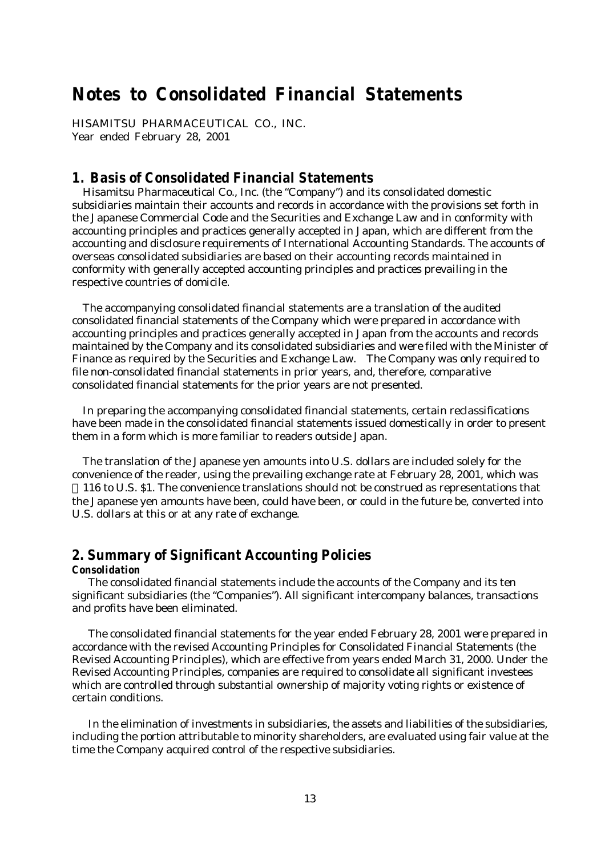## **Notes to Consolidated Financial Statements**

HISAMITSU PHARMACEUTICAL CO., INC. Year ended February 28, 2001

## **1. Basis of Consolidated Financial Statements**

 Hisamitsu Pharmaceutical Co., Inc. (the "Company") and its consolidated domestic subsidiaries maintain their accounts and records in accordance with the provisions set forth in the Japanese Commercial Code and the Securities and Exchange Law and in conformity with accounting principles and practices generally accepted in Japan, which are different from the accounting and disclosure requirements of International Accounting Standards. The accounts of overseas consolidated subsidiaries are based on their accounting records maintained in conformity with generally accepted accounting principles and practices prevailing in the respective countries of domicile.

 The accompanying consolidated financial statements are a translation of the audited consolidated financial statements of the Company which were prepared in accordance with accounting principles and practices generally accepted in Japan from the accounts and records maintained by the Company and its consolidated subsidiaries and were filed with the Minister of Finance as required by the Securities and Exchange Law. The Company was only required to file non-consolidated financial statements in prior years, and, therefore, comparative consolidated financial statements for the prior years are not presented.

 In preparing the accompanying consolidated financial statements, certain reclassifications have been made in the consolidated financial statements issued domestically in order to present them in a form which is more familiar to readers outside Japan.

 The translation of the Japanese yen amounts into U.S. dollars are included solely for the convenience of the reader, using the prevailing exchange rate at February 28, 2001, which was

116 to U.S. \$1. The convenience translations should not be construed as representations that the Japanese yen amounts have been, could have been, or could in the future be, converted into U.S. dollars at this or at any rate of exchange.

## **2. Summary of Significant Accounting Policies**

#### **Consolidation**

 The consolidated financial statements include the accounts of the Company and its ten significant subsidiaries (the "Companies"). All significant intercompany balances, transactions and profits have been eliminated.

 The consolidated financial statements for the year ended February 28, 2001 were prepared in accordance with the revised Accounting Principles for Consolidated Financial Statements (the Revised Accounting Principles), which are effective from years ended March 31, 2000. Under the Revised Accounting Principles, companies are required to consolidate all significant investees which are controlled through substantial ownership of majority voting rights or existence of certain conditions.

 In the elimination of investments in subsidiaries, the assets and liabilities of the subsidiaries, including the portion attributable to minority shareholders, are evaluated using fair value at the time the Company acquired control of the respective subsidiaries.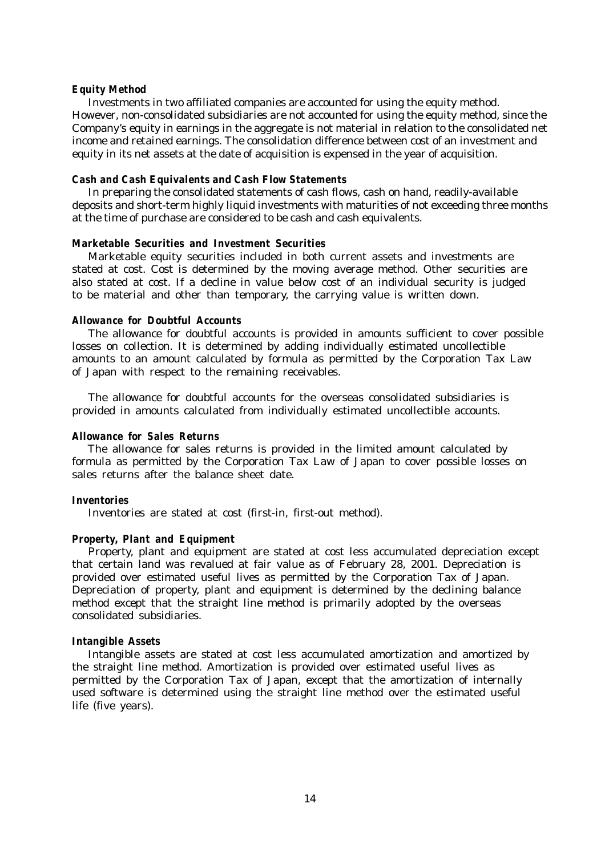#### **Equity Method**

 Investments in two affiliated companies are accounted for using the equity method. However, non-consolidated subsidiaries are not accounted for using the equity method, since the Company's equity in earnings in the aggregate is not material in relation to the consolidated net income and retained earnings. The consolidation difference between cost of an investment and equity in its net assets at the date of acquisition is expensed in the year of acquisition.

#### **Cash and Cash Equivalents and Cash Flow Statements**

 In preparing the consolidated statements of cash flows, cash on hand, readily-available deposits and short-term highly liquid investments with maturities of not exceeding three months at the time of purchase are considered to be cash and cash equivalents.

#### **Marketable Securities and Investment Securities**

 Marketable equity securities included in both current assets and investments are stated at cost. Cost is determined by the moving average method. Other securities are also stated at cost. If a decline in value below cost of an individual security is judged to be material and other than temporary, the carrying value is written down.

#### **Allowance for Doubtful Accounts**

 The allowance for doubtful accounts is provided in amounts sufficient to cover possible losses on collection. It is determined by adding individually estimated uncollectible amounts to an amount calculated by formula as permitted by the Corporation Tax Law of Japan with respect to the remaining receivables.

 The allowance for doubtful accounts for the overseas consolidated subsidiaries is provided in amounts calculated from individually estimated uncollectible accounts.

#### **Allowance for Sales Returns**

 The allowance for sales returns is provided in the limited amount calculated by formula as permitted by the Corporation Tax Law of Japan to cover possible losses on sales returns after the balance sheet date.

#### **Inventories**

Inventories are stated at cost (first-in, first-out method).

#### **Property, Plant and Equipment**

 Property, plant and equipment are stated at cost less accumulated depreciation except that certain land was revalued at fair value as of February 28, 2001. Depreciation is provided over estimated useful lives as permitted by the Corporation Tax of Japan. Depreciation of property, plant and equipment is determined by the declining balance method except that the straight line method is primarily adopted by the overseas consolidated subsidiaries.

#### **Intangible Assets**

 Intangible assets are stated at cost less accumulated amortization and amortized by the straight line method. Amortization is provided over estimated useful lives as permitted by the Corporation Tax of Japan, except that the amortization of internally used software is determined using the straight line method over the estimated useful life (five years).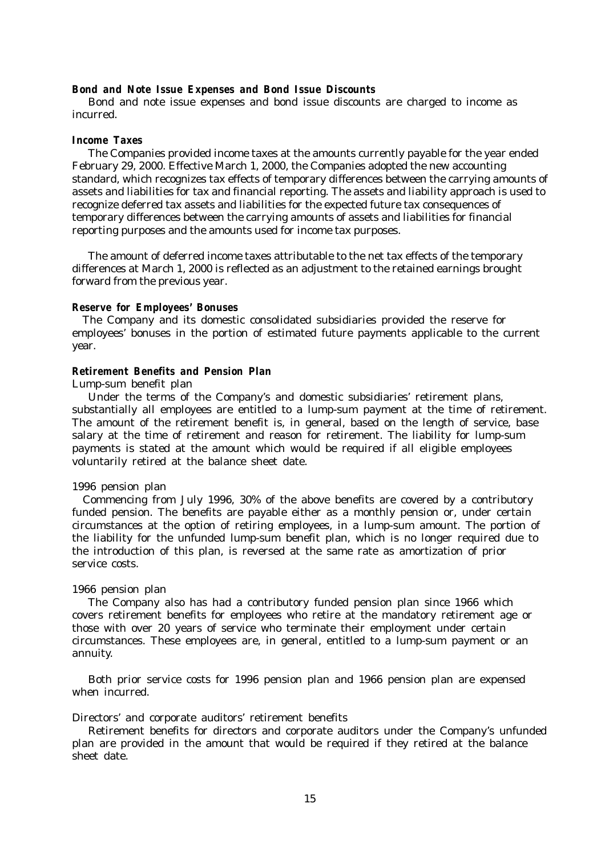#### **Bond and Note Issue Expenses and Bond Issue Discounts**

 Bond and note issue expenses and bond issue discounts are charged to income as incurred.

#### **Income Taxes**

 The Companies provided income taxes at the amounts currently payable for the year ended February 29, 2000. Effective March 1, 2000, the Companies adopted the new accounting standard, which recognizes tax effects of temporary differences between the carrying amounts of assets and liabilities for tax and financial reporting. The assets and liability approach is used to recognize deferred tax assets and liabilities for the expected future tax consequences of temporary differences between the carrying amounts of assets and liabilities for financial reporting purposes and the amounts used for income tax purposes.

 The amount of deferred income taxes attributable to the net tax effects of the temporary differences at March 1, 2000 is reflected as an adjustment to the retained earnings brought forward from the previous year.

#### **Reserve for Employees' Bonuses**

 The Company and its domestic consolidated subsidiaries provided the reserve for employees' bonuses in the portion of estimated future payments applicable to the current year.

#### **Retirement Benefits and Pension Plan**

#### Lump-sum benefit plan

 Under the terms of the Company's and domestic subsidiaries' retirement plans, substantially all employees are entitled to a lump-sum payment at the time of retirement. The amount of the retirement benefit is, in general, based on the length of service, base salary at the time of retirement and reason for retirement. The liability for lump-sum payments is stated at the amount which would be required if all eligible employees voluntarily retired at the balance sheet date.

#### 1996 pension plan

 Commencing from July 1996, 30% of the above benefits are covered by a contributory funded pension. The benefits are payable either as a monthly pension or, under certain circumstances at the option of retiring employees, in a lump-sum amount. The portion of the liability for the unfunded lump-sum benefit plan, which is no longer required due to the introduction of this plan, is reversed at the same rate as amortization of prior service costs.

#### 1966 pension plan

 The Company also has had a contributory funded pension plan since 1966 which covers retirement benefits for employees who retire at the mandatory retirement age or those with over 20 years of service who terminate their employment under certain circumstances. These employees are, in general, entitled to a lump-sum payment or an annuity.

 Both prior service costs for 1996 pension plan and 1966 pension plan are expensed when incurred.

#### Directors' and corporate auditors' retirement benefits

 Retirement benefits for directors and corporate auditors under the Company's unfunded plan are provided in the amount that would be required if they retired at the balance sheet date.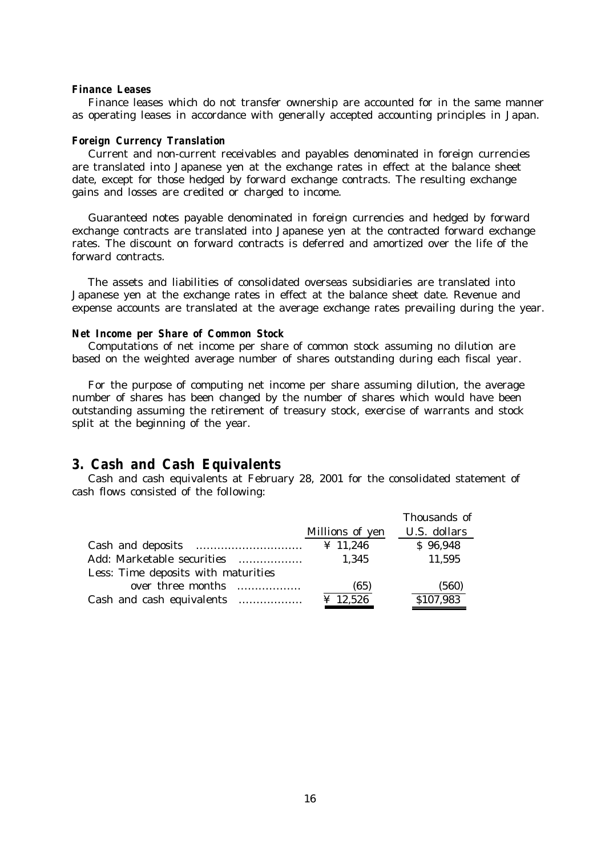#### **Finance Leases**

 Finance leases which do not transfer ownership are accounted for in the same manner as operating leases in accordance with generally accepted accounting principles in Japan.

#### **Foreign Currency Translation**

 Current and non-current receivables and payables denominated in foreign currencies are translated into Japanese yen at the exchange rates in effect at the balance sheet date, except for those hedged by forward exchange contracts. The resulting exchange gains and losses are credited or charged to income.

 Guaranteed notes payable denominated in foreign currencies and hedged by forward exchange contracts are translated into Japanese yen at the contracted forward exchange rates. The discount on forward contracts is deferred and amortized over the life of the forward contracts.

 The assets and liabilities of consolidated overseas subsidiaries are translated into Japanese yen at the exchange rates in effect at the balance sheet date. Revenue and expense accounts are translated at the average exchange rates prevailing during the year.

#### **Net Income per Share of Common Stock**

 Computations of net income per share of common stock assuming no dilution are based on the weighted average number of shares outstanding during each fiscal year.

 For the purpose of computing net income per share assuming dilution, the average number of shares has been changed by the number of shares which would have been outstanding assuming the retirement of treasury stock, exercise of warrants and stock split at the beginning of the year.

### **3. Cash and Cash Equivalents**

 Cash and cash equivalents at February 28, 2001 for the consolidated statement of cash flows consisted of the following:

|                                     |                 | Thousands of |
|-------------------------------------|-----------------|--------------|
|                                     | Millions of yen | U.S. dollars |
|                                     | ¥ 11,246        | \$96,948     |
| Add: Marketable securities<br>.     | 1,345           | 11,595       |
| Less: Time deposits with maturities |                 |              |
| over three months                   | (65)            | (560)        |
| Cash and cash equivalents           | ¥ $12,526$      | \$107,983    |
|                                     |                 |              |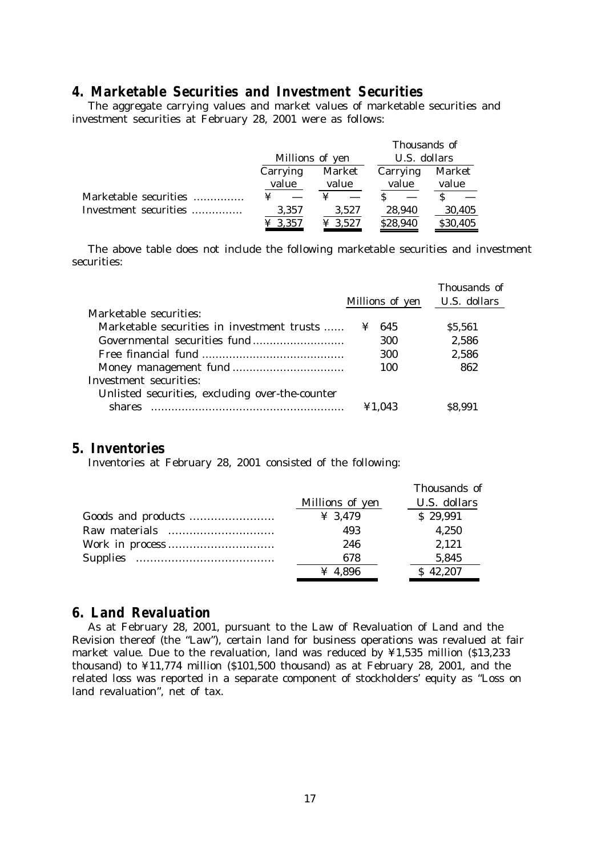## **4. Marketable Securities and Investment Securities**

 The aggregate carrying values and market values of marketable securities and investment securities at February 28, 2001 were as follows:

|                       |          |                 | Thousands of |          |
|-----------------------|----------|-----------------|--------------|----------|
|                       |          | Millions of yen | U.S. dollars |          |
|                       | Carrying | Market          | Carrying     | Market   |
|                       | value    | value           | value        | value    |
| Marketable securities | ¥        |                 |              |          |
| Investment securities | 3,357    | 3,527           | 28,940       | 30,405   |
|                       | 3.357    | 3.527           | \$28,940     | \$30,405 |

 The above table does not include the following marketable securities and investment securities:

|                                                 |                                     | Thousands of |
|-------------------------------------------------|-------------------------------------|--------------|
|                                                 | Millions of yen                     | U.S. dollars |
| Marketable securities:                          |                                     |              |
| Marketable securities in investment trusts      | -645<br>¥                           | \$5.561      |
| Governmental securities fund                    | 300                                 | 2,586        |
|                                                 | 300                                 | 2,586        |
|                                                 | 100                                 | 862          |
| Investment securities:                          |                                     |              |
| Unlisted securities, excluding over-the-counter |                                     |              |
| shares                                          | $\textcolor{blue}{\mathbf{41.043}}$ | S8 991       |

## **5. Inventories**

Inventories at February 28, 2001 consisted of the following:

|                 | Thousands of |
|-----------------|--------------|
| Millions of yen | U.S. dollars |
| $\angle 3.479$  | \$29,991     |
| 493             | 4,250        |
| 246             | 2,121        |
| 678             | 5,845        |
| $\geq 4.896$    | \$42,207     |

## **6. Land Revaluation**

 As at February 28, 2001, pursuant to the Law of Revaluation of Land and the Revision thereof (the "Law"), certain land for business operations was revalued at fair market value. Due to the revaluation, land was reduced by ¥1,535 million (\$13,233 thousand) to ¥11,774 million (\$101,500 thousand) as at February 28, 2001, and the related loss was reported in a separate component of stockholders' equity as "Loss on land revaluation", net of tax.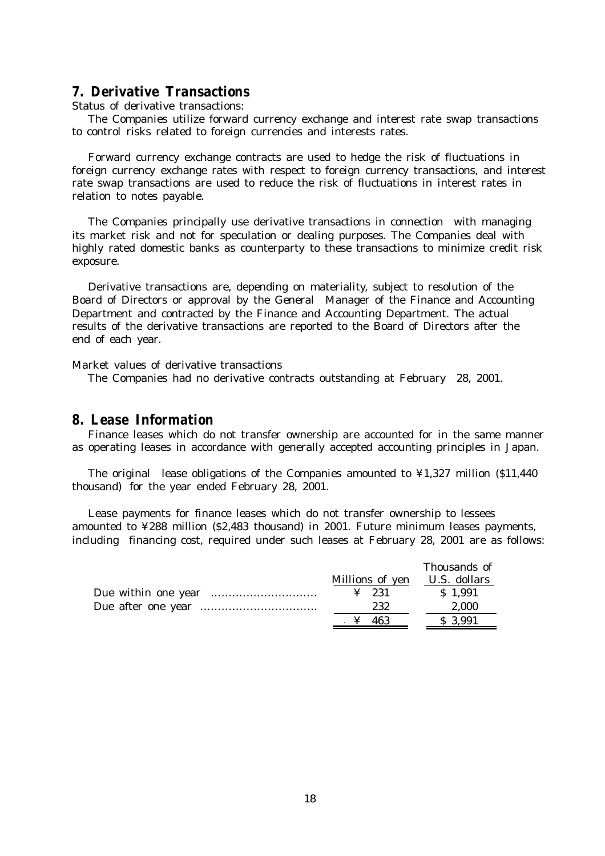## **7. Derivative Transactions**

Status of derivative transactions:

 The Companies utilize forward currency exchange and interest rate swap transactions to control risks related to foreign currencies and interests rates.

 Forward currency exchange contracts are used to hedge the risk of fluctuations in foreign currency exchange rates with respect to foreign currency transactions, and interest rate swap transactions are used to reduce the risk of fluctuations in interest rates in relation to notes payable.

 The Companies principally use derivative transactions in connection with managing its market risk and not for speculation or dealing purposes. The Companies deal with highly rated domestic banks as counterparty to these transactions to minimize credit risk exposure.

 Derivative transactions are, depending on materiality, subject to resolution of the Board of Directors or approval by the General Manager of the Finance and Accounting Department and contracted by the Finance and Accounting Department. The actual results of the derivative transactions are reported to the Board of Directors after the end of each year.

Market values of derivative transactions

The Companies had no derivative contracts outstanding at February 28, 2001.

## **8. Lease Information**

 Finance leases which do not transfer ownership are accounted for in the same manner as operating leases in accordance with generally accepted accounting principles in Japan.

The original lease obligations of the Companies amounted to  $\frac{1}{2}1,327$  million (\$11,440) thousand) for the year ended February 28, 2001.

 Lease payments for finance leases which do not transfer ownership to lessees amounted to ¥288 million (\$2,483 thousand) in 2001. Future minimum leases payments, including financing cost, required under such leases at February 28, 2001 are as follows:

|                   | Thousands of |
|-------------------|--------------|
| Millions of yen   | U.S. dollars |
| $\angle 231$      | S 1.991      |
| 232               | 2.000        |
| $\cdot$ \ \ \ 463 | S 3.991      |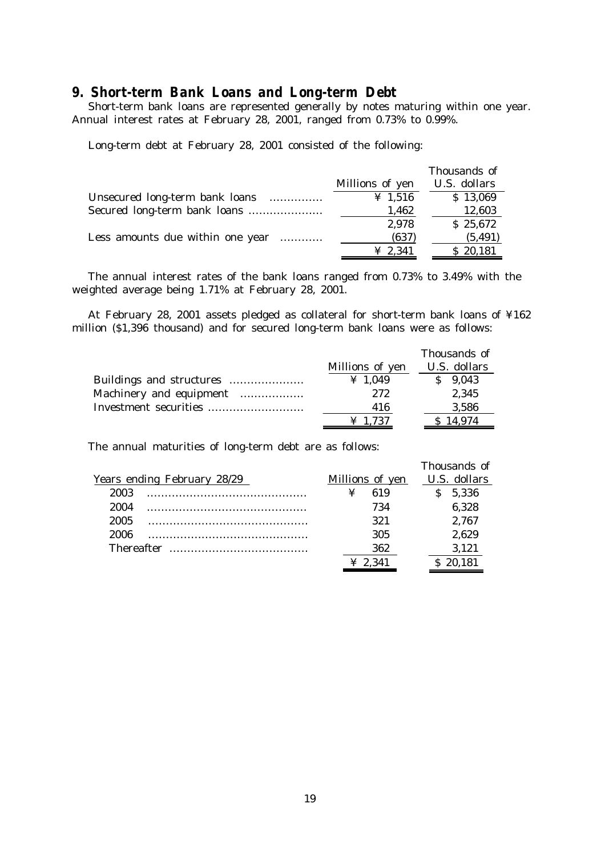## **9. Short-term Bank Loans and Long-term Debt**

 Short-term bank loans are represented generally by notes maturing within one year. Annual interest rates at February 28, 2001, ranged from 0.73% to 0.99%.

Long-term debt at February 28, 2001 consisted of the following:

|                                  |                 | Thousands of |
|----------------------------------|-----------------|--------------|
|                                  | Millions of yen | U.S. dollars |
| Unsecured long-term bank loans   | ¥ 1,516         | \$13,069     |
| Secured long-term bank loans     | 1,462           | 12,603       |
|                                  | 2,978           | \$25,672     |
| Less amounts due within one year | (637)           | (5, 491)     |
|                                  | $\angle 2.341$  | 20,181       |

 The annual interest rates of the bank loans ranged from 0.73% to 3.49% with the weighted average being 1.71% at February 28, 2001.

 At February 28, 2001 assets pledged as collateral for short-term bank loans of ¥162 million (\$1,396 thousand) and for secured long-term bank loans were as follows:

|                         |                 | Thousands of |
|-------------------------|-----------------|--------------|
|                         | Millions of yen | U.S. dollars |
|                         | ¥ 1,049         | $S$ 9.043    |
| Machinery and equipment | 272             | 2,345        |
|                         | 416             | 3,586        |
|                         | $\leq 1.737$    | 14.974       |

The annual maturities of long-term debt are as follows:

|                             |                 | Thousands of |
|-----------------------------|-----------------|--------------|
| Years ending February 28/29 | Millions of yen | U.S. dollars |
| 2003                        | 619             | 5,336        |
| 2004                        | 734             | 6,328        |
| 2005                        | 321             | 2,767        |
| 2006                        | 305             | 2,629        |
| <b>Thereafter</b>           | 362             | 3,121        |
|                             |                 |              |
|                             |                 |              |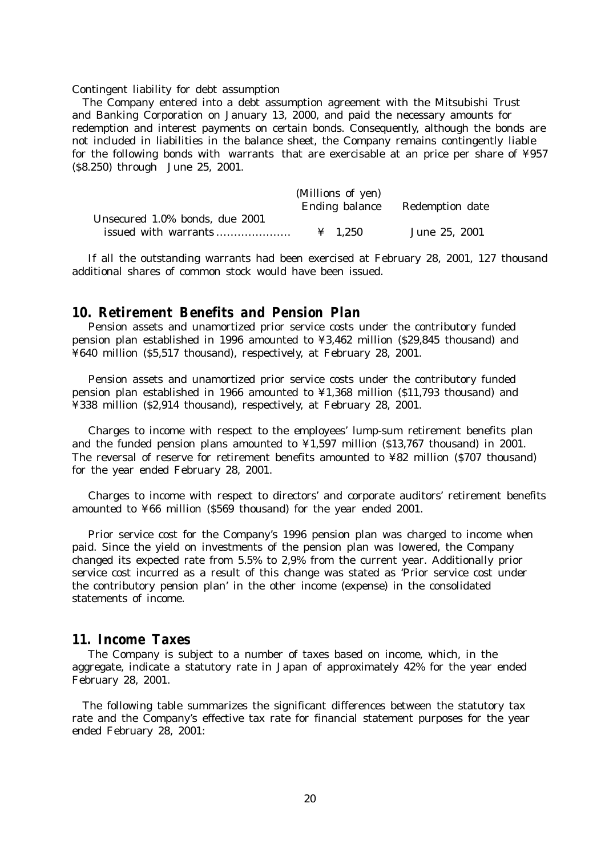#### Contingent liability for debt assumption

 The Company entered into a debt assumption agreement with the Mitsubishi Trust and Banking Corporation on January 13, 2000, and paid the necessary amounts for redemption and interest payments on certain bonds. Consequently, although the bonds are not included in liabilities in the balance sheet, the Company remains contingently liable for the following bonds with warrants that are exercisable at an price per share of ¥957 (\$8.250) through June 25, 2001.

|                                | (Millions of yen)     |                 |
|--------------------------------|-----------------------|-----------------|
|                                | <b>Ending balance</b> | Redemption date |
| Unsecured 1.0% bonds, due 2001 |                       |                 |
|                                | $\angle 1.250$        | June 25, 2001   |

 If all the outstanding warrants had been exercised at February 28, 2001, 127 thousand additional shares of common stock would have been issued.

## **10. Retirement Benefits and Pension Plan**

 Pension assets and unamortized prior service costs under the contributory funded pension plan established in 1996 amounted to ¥3,462 million (\$29,845 thousand) and ¥640 million (\$5,517 thousand), respectively, at February 28, 2001.

 Pension assets and unamortized prior service costs under the contributory funded pension plan established in 1966 amounted to ¥1,368 million (\$11,793 thousand) and ¥338 million (\$2,914 thousand), respectively, at February 28, 2001.

 Charges to income with respect to the employees' lump-sum retirement benefits plan and the funded pension plans amounted to  $\frac{1597}{1000}$  million (\$13.767 thousand) in 2001. The reversal of reserve for retirement benefits amounted to ¥82 million (\$707 thousand) for the year ended February 28, 2001.

 Charges to income with respect to directors' and corporate auditors' retirement benefits amounted to ¥66 million (\$569 thousand) for the year ended 2001.

 Prior service cost for the Company's 1996 pension plan was charged to income when paid. Since the yield on investments of the pension plan was lowered, the Company changed its expected rate from 5.5% to 2,9% from the current year. Additionally prior service cost incurred as a result of this change was stated as 'Prior service cost under the contributory pension plan' in the other income (expense) in the consolidated statements of income.

## **11. Income Taxes**

 The Company is subject to a number of taxes based on income, which, in the aggregate, indicate a statutory rate in Japan of approximately 42% for the year ended February 28, 2001.

 The following table summarizes the significant differences between the statutory tax rate and the Company's effective tax rate for financial statement purposes for the year ended February 28, 2001: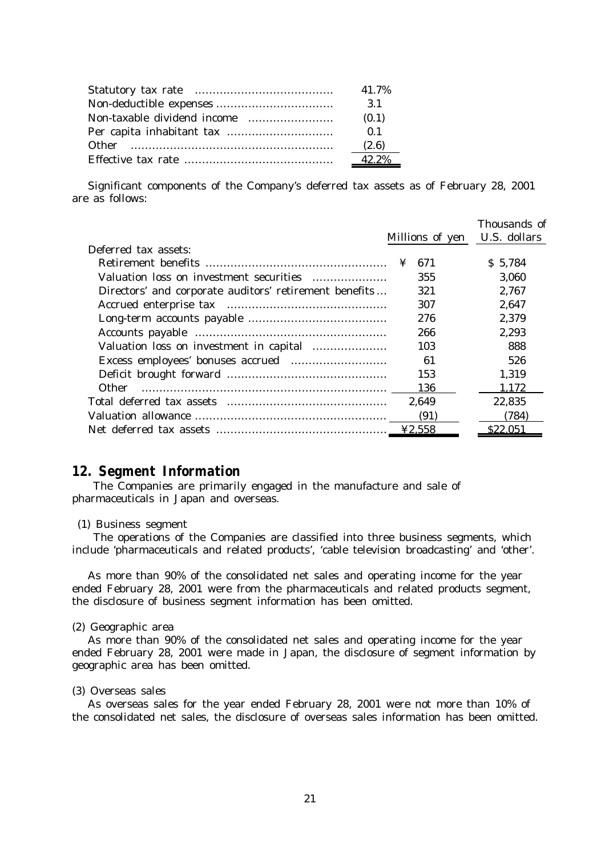| 41.7%          |
|----------------|
| 3.1            |
| (0.1)          |
| 0 <sub>1</sub> |
| (2.6)          |
|                |

 Significant components of the Company's deferred tax assets as of February 28, 2001 are as follows:

|                                                        |                              | Thousands of |
|--------------------------------------------------------|------------------------------|--------------|
|                                                        | Millions of yen U.S. dollars |              |
| Deferred tax assets:                                   |                              |              |
|                                                        | 671<br>¥                     | \$ 5,784     |
| Valuation loss on investment securities                | 355                          | 3,060        |
| Directors' and corporate auditors' retirement benefits | 321                          | 2,767        |
|                                                        | 307                          | 2,647        |
|                                                        | 276                          | 2,379        |
|                                                        | 266                          | 2,293        |
| Valuation loss on investment in capital                | 103                          | 888          |
|                                                        | 61                           | 526          |
|                                                        | 153                          | 1,319        |
| <b>Other</b>                                           | 136                          | 1.172        |
|                                                        | 2,649                        | 22,835       |
|                                                        | (91)                         | (784)        |
|                                                        | 42,558                       | \$22,051     |

## **12. Segment Information**

 The Companies are primarily engaged in the manufacture and sale of pharmaceuticals in Japan and overseas.

#### (1) Business segment

 The operations of the Companies are classified into three business segments, which include 'pharmaceuticals and related products', 'cable television broadcasting' and 'other'.

 As more than 90% of the consolidated net sales and operating income for the year ended February 28, 2001 were from the pharmaceuticals and related products segment, the disclosure of business segment information has been omitted.

#### (2) Geographic area

 As more than 90% of the consolidated net sales and operating income for the year ended February 28, 2001 were made in Japan, the disclosure of segment information by geographic area has been omitted.

#### (3) Overseas sales

 As overseas sales for the year ended February 28, 2001 were not more than 10% of the consolidated net sales, the disclosure of overseas sales information has been omitted.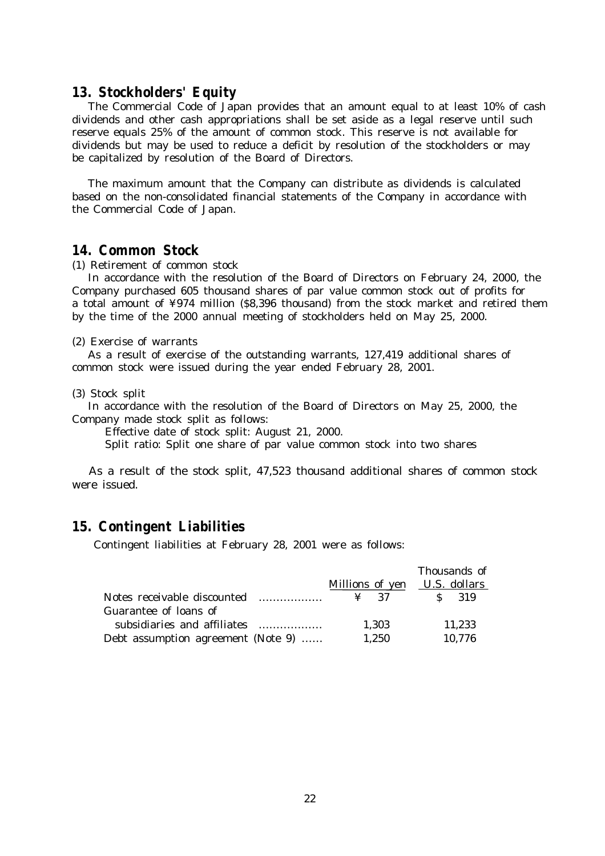## **13. Stockholders' Equity**

 The Commercial Code of Japan provides that an amount equal to at least 10% of cash dividends and other cash appropriations shall be set aside as a legal reserve until such reserve equals 25% of the amount of common stock. This reserve is not available for dividends but may be used to reduce a deficit by resolution of the stockholders or may be capitalized by resolution of the Board of Directors.

 The maximum amount that the Company can distribute as dividends is calculated based on the non-consolidated financial statements of the Company in accordance with the Commercial Code of Japan.

## **14. Common Stock**

(1) Retirement of common stock

 In accordance with the resolution of the Board of Directors on February 24, 2000, the Company purchased 605 thousand shares of par value common stock out of profits for a total amount of ¥974 million (\$8,396 thousand) from the stock market and retired them by the time of the 2000 annual meeting of stockholders held on May 25, 2000.

#### (2) Exercise of warrants

 As a result of exercise of the outstanding warrants, 127,419 additional shares of common stock were issued during the year ended February 28, 2001.

#### (3) Stock split

 In accordance with the resolution of the Board of Directors on May 25, 2000, the Company made stock split as follows:

Effective date of stock split: August 21, 2000.

Split ratio: Split one share of par value common stock into two shares

 As a result of the stock split, 47,523 thousand additional shares of common stock were issued.

## **15. Contingent Liabilities**

Contingent liabilities at February 28, 2001 were as follows:

|                                    |                                    | Thousands of |
|------------------------------------|------------------------------------|--------------|
|                                    | Millions of yen U.S. dollars       |              |
| Notes receivable discounted        | $\angle \hspace{-.08in} \Delta 37$ | -319         |
| Guarantee of loans of              |                                    |              |
| subsidiaries and affiliates        | 1.303                              | 11,233       |
| Debt assumption agreement (Note 9) | 1,250                              | 10.776       |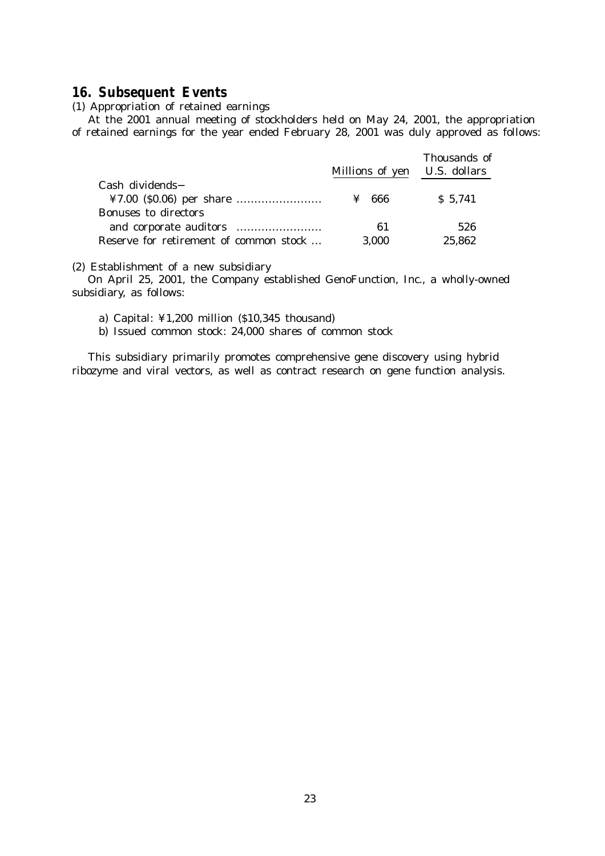## **16. Subsequent Events**

(1) Appropriation of retained earnings

 At the 2001 annual meeting of stockholders held on May 24, 2001, the appropriation of retained earnings for the year ended February 28, 2001 was duly approved as follows:

|                                        |                              | Thousands of |
|----------------------------------------|------------------------------|--------------|
|                                        | Millions of yen U.S. dollars |              |
| Cash dividends                         |                              |              |
|                                        | $\frac{1}{2}$ 666            | \$5,741      |
| Bonuses to directors                   |                              |              |
|                                        | 61                           | 526          |
| Reserve for retirement of common stock | 3,000                        | 25,862       |

(2) Establishment of a new subsidiary

 On April 25, 2001, the Company established GenoFunction, Inc., a wholly-owned subsidiary, as follows:

a) Capital: ¥1,200 million (\$10,345 thousand)

b) Issued common stock: 24,000 shares of common stock

This subsidiary primarily promotes comprehensive gene discovery using hybrid ribozyme and viral vectors, as well as contract research on gene function analysis.